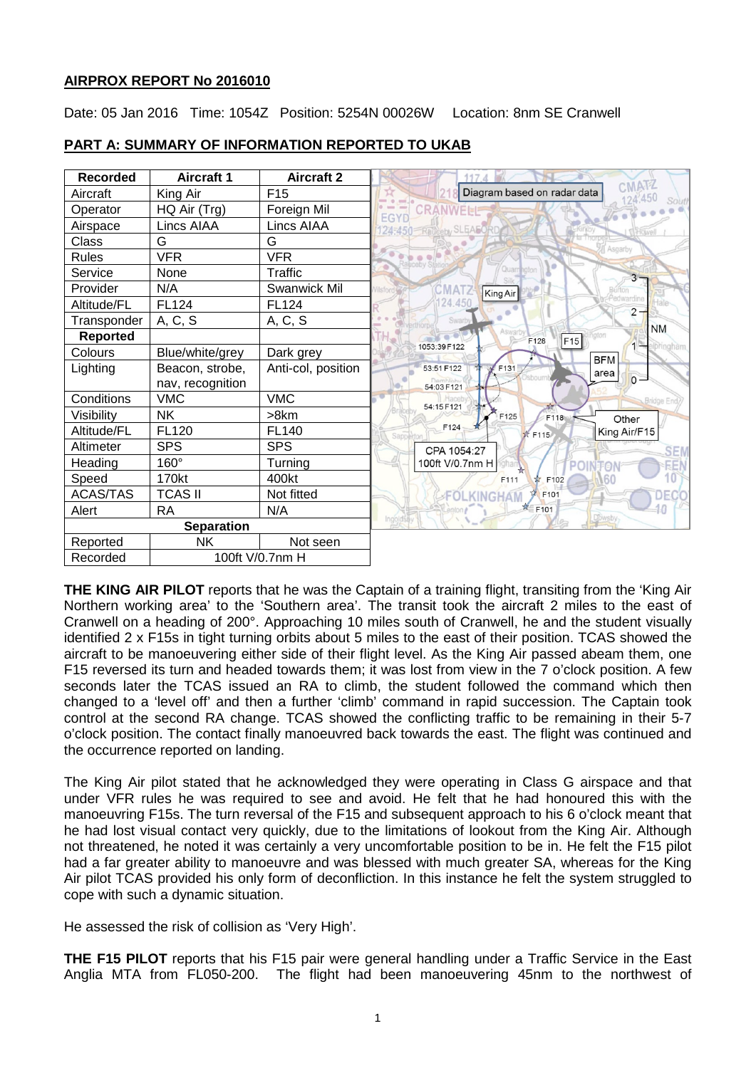## **AIRPROX REPORT No 2016010**

Date: 05 Jan 2016 Time: 1054Z Position: 5254N 00026W Location: 8nm SE Cranwell



# **PART A: SUMMARY OF INFORMATION REPORTED TO UKAB**

**THE KING AIR PILOT** reports that he was the Captain of a training flight, transiting from the 'King Air Northern working area' to the 'Southern area'. The transit took the aircraft 2 miles to the east of Cranwell on a heading of 200°. Approaching 10 miles south of Cranwell, he and the student visually identified 2 x F15s in tight turning orbits about 5 miles to the east of their position. TCAS showed the aircraft to be manoeuvering either side of their flight level. As the King Air passed abeam them, one F15 reversed its turn and headed towards them; it was lost from view in the 7 o'clock position. A few seconds later the TCAS issued an RA to climb, the student followed the command which then changed to a 'level off' and then a further 'climb' command in rapid succession. The Captain took control at the second RA change. TCAS showed the conflicting traffic to be remaining in their 5-7 o'clock position. The contact finally manoeuvred back towards the east. The flight was continued and the occurrence reported on landing.

The King Air pilot stated that he acknowledged they were operating in Class G airspace and that under VFR rules he was required to see and avoid. He felt that he had honoured this with the manoeuvring F15s. The turn reversal of the F15 and subsequent approach to his 6 o'clock meant that he had lost visual contact very quickly, due to the limitations of lookout from the King Air. Although not threatened, he noted it was certainly a very uncomfortable position to be in. He felt the F15 pilot had a far greater ability to manoeuvre and was blessed with much greater SA, whereas for the King Air pilot TCAS provided his only form of deconfliction. In this instance he felt the system struggled to cope with such a dynamic situation.

He assessed the risk of collision as 'Very High'.

**THE F15 PILOT** reports that his F15 pair were general handling under a Traffic Service in the East Anglia MTA from FL050-200. The flight had been manoeuvering 45nm to the northwest of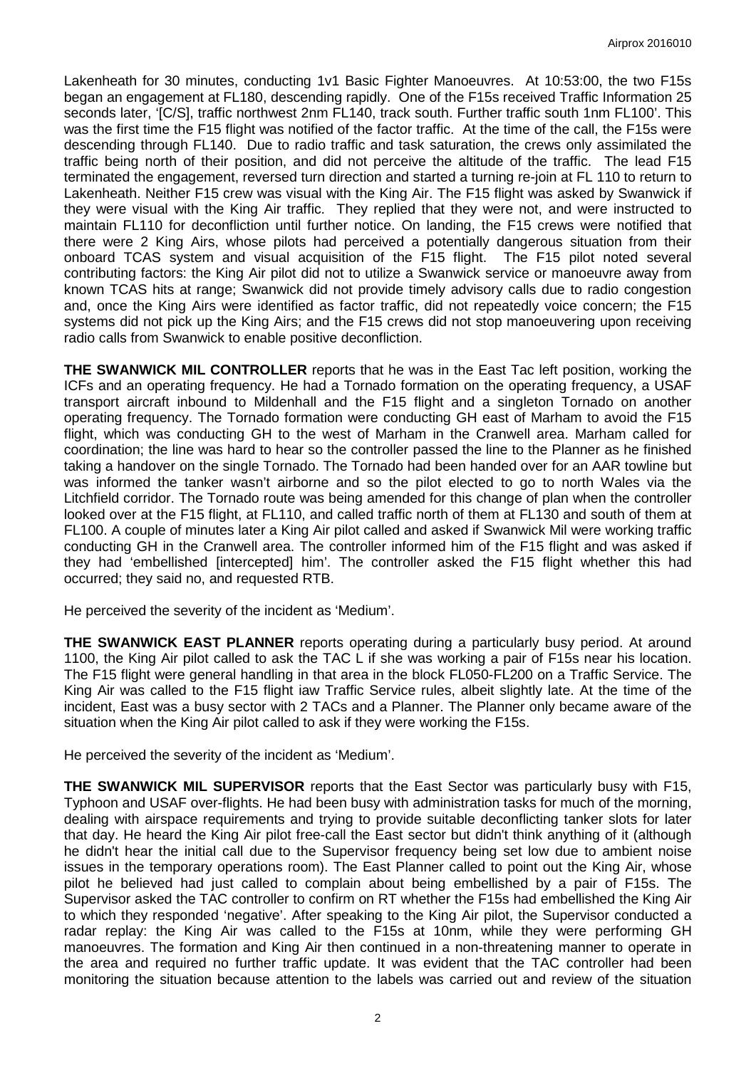Lakenheath for 30 minutes, conducting 1v1 Basic Fighter Manoeuvres. At 10:53:00, the two F15s began an engagement at FL180, descending rapidly. One of the F15s received Traffic Information 25 seconds later, '[C/S], traffic northwest 2nm FL140, track south. Further traffic south 1nm FL100'. This was the first time the F15 flight was notified of the factor traffic. At the time of the call, the F15s were descending through FL140. Due to radio traffic and task saturation, the crews only assimilated the traffic being north of their position, and did not perceive the altitude of the traffic. The lead F15 terminated the engagement, reversed turn direction and started a turning re-join at FL 110 to return to Lakenheath. Neither F15 crew was visual with the King Air. The F15 flight was asked by Swanwick if they were visual with the King Air traffic. They replied that they were not, and were instructed to maintain FL110 for deconfliction until further notice. On landing, the F15 crews were notified that there were 2 King Airs, whose pilots had perceived a potentially dangerous situation from their onboard TCAS system and visual acquisition of the F15 flight. The F15 pilot noted several contributing factors: the King Air pilot did not to utilize a Swanwick service or manoeuvre away from known TCAS hits at range; Swanwick did not provide timely advisory calls due to radio congestion and, once the King Airs were identified as factor traffic, did not repeatedly voice concern; the F15 systems did not pick up the King Airs; and the F15 crews did not stop manoeuvering upon receiving radio calls from Swanwick to enable positive deconfliction.

**THE SWANWICK MIL CONTROLLER** reports that he was in the East Tac left position, working the ICFs and an operating frequency. He had a Tornado formation on the operating frequency, a USAF transport aircraft inbound to Mildenhall and the F15 flight and a singleton Tornado on another operating frequency. The Tornado formation were conducting GH east of Marham to avoid the F15 flight, which was conducting GH to the west of Marham in the Cranwell area. Marham called for coordination; the line was hard to hear so the controller passed the line to the Planner as he finished taking a handover on the single Tornado. The Tornado had been handed over for an AAR towline but was informed the tanker wasn't airborne and so the pilot elected to go to north Wales via the Litchfield corridor. The Tornado route was being amended for this change of plan when the controller looked over at the F15 flight, at FL110, and called traffic north of them at FL130 and south of them at FL100. A couple of minutes later a King Air pilot called and asked if Swanwick Mil were working traffic conducting GH in the Cranwell area. The controller informed him of the F15 flight and was asked if they had 'embellished [intercepted] him'. The controller asked the F15 flight whether this had occurred; they said no, and requested RTB.

He perceived the severity of the incident as 'Medium'.

**THE SWANWICK EAST PLANNER** reports operating during a particularly busy period. At around 1100, the King Air pilot called to ask the TAC L if she was working a pair of F15s near his location. The F15 flight were general handling in that area in the block FL050-FL200 on a Traffic Service. The King Air was called to the F15 flight iaw Traffic Service rules, albeit slightly late. At the time of the incident, East was a busy sector with 2 TACs and a Planner. The Planner only became aware of the situation when the King Air pilot called to ask if they were working the F15s.

He perceived the severity of the incident as 'Medium'.

**THE SWANWICK MIL SUPERVISOR** reports that the East Sector was particularly busy with F15, Typhoon and USAF over-flights. He had been busy with administration tasks for much of the morning, dealing with airspace requirements and trying to provide suitable deconflicting tanker slots for later that day. He heard the King Air pilot free-call the East sector but didn't think anything of it (although he didn't hear the initial call due to the Supervisor frequency being set low due to ambient noise issues in the temporary operations room). The East Planner called to point out the King Air, whose pilot he believed had just called to complain about being embellished by a pair of F15s. The Supervisor asked the TAC controller to confirm on RT whether the F15s had embellished the King Air to which they responded 'negative'. After speaking to the King Air pilot, the Supervisor conducted a radar replay: the King Air was called to the F15s at 10nm, while they were performing GH manoeuvres. The formation and King Air then continued in a non-threatening manner to operate in the area and required no further traffic update. It was evident that the TAC controller had been monitoring the situation because attention to the labels was carried out and review of the situation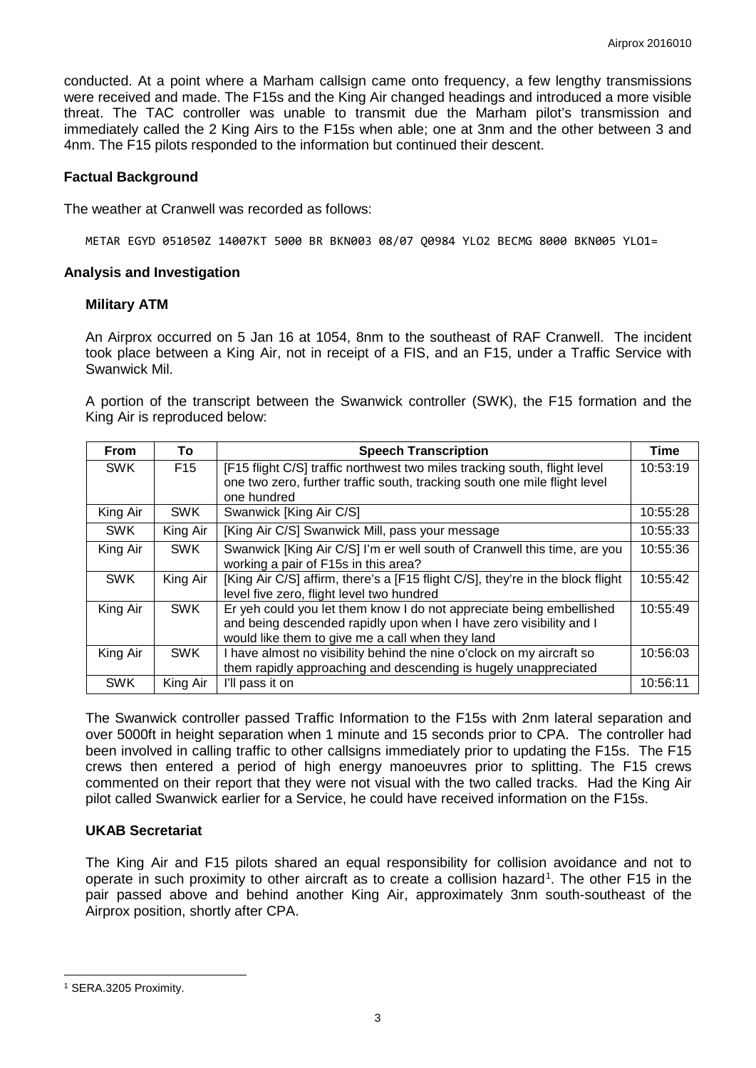conducted. At a point where a Marham callsign came onto frequency, a few lengthy transmissions were received and made. The F15s and the King Air changed headings and introduced a more visible threat. The TAC controller was unable to transmit due the Marham pilot's transmission and immediately called the 2 King Airs to the F15s when able; one at 3nm and the other between 3 and 4nm. The F15 pilots responded to the information but continued their descent.

### **Factual Background**

The weather at Cranwell was recorded as follows:

METAR EGYD 051050Z 14007KT 5000 BR BKN003 08/07 Q0984 YLO2 BECMG 8000 BKN005 YLO1=

#### **Analysis and Investigation**

#### **Military ATM**

An Airprox occurred on 5 Jan 16 at 1054, 8nm to the southeast of RAF Cranwell. The incident took place between a King Air, not in receipt of a FIS, and an F15, under a Traffic Service with Swanwick Mil.

A portion of the transcript between the Swanwick controller (SWK), the F15 formation and the King Air is reproduced below:

| <b>From</b> | To              | <b>Speech Transcription</b>                                                                                                                                                                    | Time     |
|-------------|-----------------|------------------------------------------------------------------------------------------------------------------------------------------------------------------------------------------------|----------|
| <b>SWK</b>  | F <sub>15</sub> | [F15 flight C/S] traffic northwest two miles tracking south, flight level<br>one two zero, further traffic south, tracking south one mile flight level                                         | 10:53:19 |
|             |                 | one hundred                                                                                                                                                                                    |          |
| King Air    | <b>SWK</b>      | Swanwick [King Air C/S]                                                                                                                                                                        | 10:55:28 |
| <b>SWK</b>  | King Air        | [King Air C/S] Swanwick Mill, pass your message                                                                                                                                                | 10:55:33 |
| King Air    | <b>SWK</b>      | Swanwick [King Air C/S] I'm er well south of Cranwell this time, are you<br>working a pair of F15s in this area?                                                                               | 10:55:36 |
| <b>SWK</b>  | King Air        | [King Air C/S] affirm, there's a [F15 flight C/S], they're in the block flight<br>level five zero, flight level two hundred                                                                    | 10:55:42 |
| King Air    | <b>SWK</b>      | Er yeh could you let them know I do not appreciate being embellished<br>and being descended rapidly upon when I have zero visibility and I<br>would like them to give me a call when they land | 10:55:49 |
| King Air    | <b>SWK</b>      | I have almost no visibility behind the nine o'clock on my aircraft so<br>them rapidly approaching and descending is hugely unappreciated                                                       | 10:56:03 |
| <b>SWK</b>  | King Air        | I'll pass it on                                                                                                                                                                                | 10:56:11 |

The Swanwick controller passed Traffic Information to the F15s with 2nm lateral separation and over 5000ft in height separation when 1 minute and 15 seconds prior to CPA. The controller had been involved in calling traffic to other callsigns immediately prior to updating the F15s. The F15 crews then entered a period of high energy manoeuvres prior to splitting. The F15 crews commented on their report that they were not visual with the two called tracks. Had the King Air pilot called Swanwick earlier for a Service, he could have received information on the F15s.

## **UKAB Secretariat**

The King Air and F15 pilots shared an equal responsibility for collision avoidance and not to operate in such proximity to other aircraft as to create a collision hazard<sup>[1](#page-2-0)</sup>. The other F15 in the pair passed above and behind another King Air, approximately 3nm south-southeast of the Airprox position, shortly after CPA.

 $\overline{\phantom{a}}$ 

<span id="page-2-0"></span><sup>1</sup> SERA.3205 Proximity.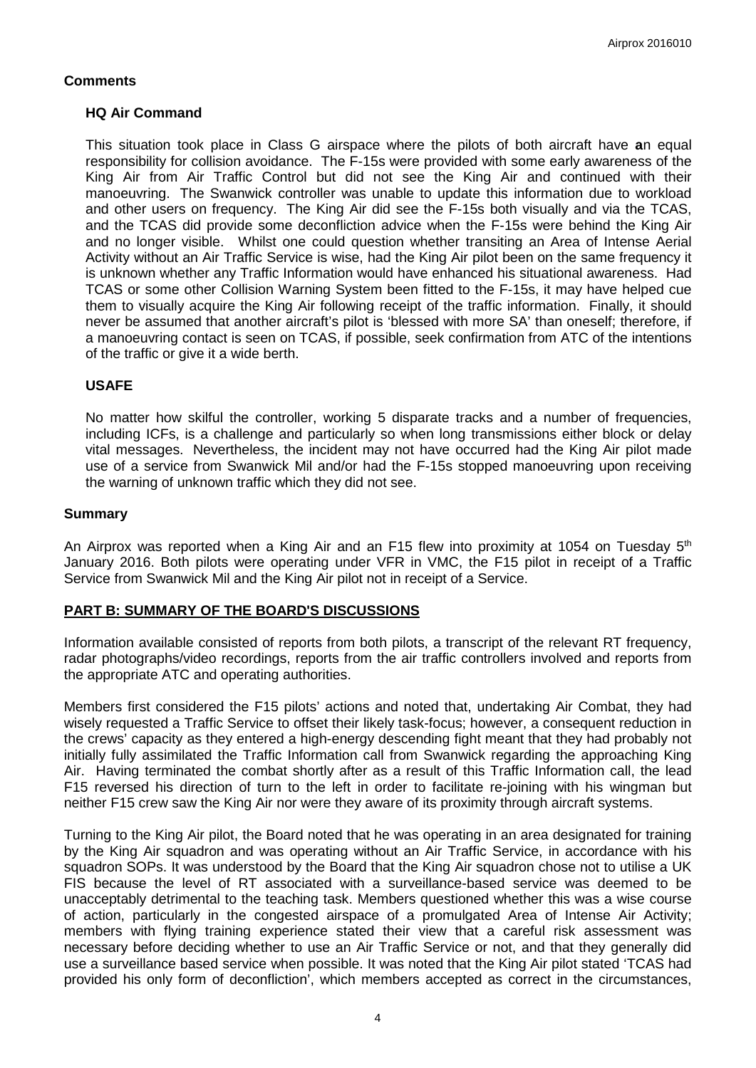## **Comments**

### **HQ Air Command**

This situation took place in Class G airspace where the pilots of both aircraft have **a**n equal responsibility for collision avoidance. The F-15s were provided with some early awareness of the King Air from Air Traffic Control but did not see the King Air and continued with their manoeuvring. The Swanwick controller was unable to update this information due to workload and other users on frequency. The King Air did see the F-15s both visually and via the TCAS, and the TCAS did provide some deconfliction advice when the F-15s were behind the King Air and no longer visible. Whilst one could question whether transiting an Area of Intense Aerial Activity without an Air Traffic Service is wise, had the King Air pilot been on the same frequency it is unknown whether any Traffic Information would have enhanced his situational awareness. Had TCAS or some other Collision Warning System been fitted to the F-15s, it may have helped cue them to visually acquire the King Air following receipt of the traffic information. Finally, it should never be assumed that another aircraft's pilot is 'blessed with more SA' than oneself; therefore, if a manoeuvring contact is seen on TCAS, if possible, seek confirmation from ATC of the intentions of the traffic or give it a wide berth.

### **USAFE**

No matter how skilful the controller, working 5 disparate tracks and a number of frequencies, including ICFs, is a challenge and particularly so when long transmissions either block or delay vital messages. Nevertheless, the incident may not have occurred had the King Air pilot made use of a service from Swanwick Mil and/or had the F-15s stopped manoeuvring upon receiving the warning of unknown traffic which they did not see.

#### **Summary**

An Airprox was reported when a King Air and an F15 flew into proximity at 1054 on Tuesday  $5<sup>th</sup>$ January 2016. Both pilots were operating under VFR in VMC, the F15 pilot in receipt of a Traffic Service from Swanwick Mil and the King Air pilot not in receipt of a Service.

#### **PART B: SUMMARY OF THE BOARD'S DISCUSSIONS**

Information available consisted of reports from both pilots, a transcript of the relevant RT frequency, radar photographs/video recordings, reports from the air traffic controllers involved and reports from the appropriate ATC and operating authorities.

Members first considered the F15 pilots' actions and noted that, undertaking Air Combat, they had wisely requested a Traffic Service to offset their likely task-focus; however, a consequent reduction in the crews' capacity as they entered a high-energy descending fight meant that they had probably not initially fully assimilated the Traffic Information call from Swanwick regarding the approaching King Air. Having terminated the combat shortly after as a result of this Traffic Information call, the lead F15 reversed his direction of turn to the left in order to facilitate re-joining with his wingman but neither F15 crew saw the King Air nor were they aware of its proximity through aircraft systems.

Turning to the King Air pilot, the Board noted that he was operating in an area designated for training by the King Air squadron and was operating without an Air Traffic Service, in accordance with his squadron SOPs. It was understood by the Board that the King Air squadron chose not to utilise a UK FIS because the level of RT associated with a surveillance-based service was deemed to be unacceptably detrimental to the teaching task. Members questioned whether this was a wise course of action, particularly in the congested airspace of a promulgated Area of Intense Air Activity; members with flying training experience stated their view that a careful risk assessment was necessary before deciding whether to use an Air Traffic Service or not, and that they generally did use a surveillance based service when possible. It was noted that the King Air pilot stated 'TCAS had provided his only form of deconfliction', which members accepted as correct in the circumstances,